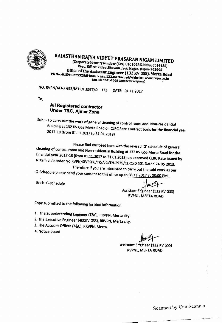

RAJASTHAN RAJYA VIDYUT PRASARAN NIGAM LIMITED (Corporate Identity Number (CIN):U40109RJ2000SGCOl6485) Regd. Office: VidyutBhawan, Jyoti Nagar, Jaipur-302005 Office of the Assistant Engineer (132 KV GSS), Merta Road Ph.No:-01591-275328;E-MAIL:- aen.132.mertaroad;Website:-www.rvpn.co.in (An ISO 9001-2008 Certified Company)

NO. RVPN/AEN/ GSS/MTR/F.ESTT/D 173 DATE:-01.11.2017

To,

### All Registered contractor Under T&C. Ajmer Zone

Sub: - To carry out the work of general cleaning of control room and Non-residential Building at 132 KV GSS Merta Road on CLRC Rate Contract basis for the financial year 2017-18 (from 01.11.2017 to 31.01.2018)

Please find enclosed here *with* the revised 'G' schedule of general cleaning of control room and Non-residential Building at 132 KV GSS Merta Road for the financial year 2017-18 (from 01.11.2017 to 31.01.2018) on approved CLRC Rate issued by Nigam vide order No.RVPN/SE/SSPC/TK/A-1/TN-2975/ClRC/D 501 Dated 24.05.2013.

Therefore if you are interested to carry out the said work as per G-Schedule please send your consent to this office up to 08.11.2017 at 03:00 PM.

Encl:- G-schedule

Assistant Engineer (132 KV GSS) RVPNl, MERTA ROAD

Copy submitted to the following for kind information

1. The Superintending Engineer (T&C), RRVPN, Merta city.

2. The Executive Engineer (400KV GSS), RRVPN, Merta city.

3. The Account Officer (T&C), RRVPN, Merta.

4. Notice board

Assistant Engineer (132 KV GSS) RVPNl, MERTA ROAD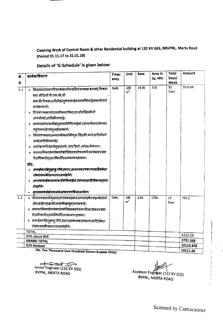# Cleaning Work of Control Room & other Residential building at 132 KV GSS, RRVPNL, Merta Road (Period 01.11.17 to 31.01.18)

Details of 'G-Schedule' is given below:

| कं.<br>स.         | कार्यकाविवरण                                                                                                                                                                                                                                                                                                                                                                                                                                                                                                    | Frequ<br>ency | Unit                  | Rate     | Area in<br>Sq. Mtr. | Total<br>Days/<br>Week | Amount    |
|-------------------|-----------------------------------------------------------------------------------------------------------------------------------------------------------------------------------------------------------------------------------------------------------------------------------------------------------------------------------------------------------------------------------------------------------------------------------------------------------------------------------------------------------------|---------------|-----------------------|----------|---------------------|------------------------|-----------|
| 1.1               | ÷ ग्रिडसबस्टेशनपरिसरकेकार्यालयनियंत्रणकक्ष,बरामदे,विश्राम<br>कक्ष,सीढ़ियाँ,पी.एल.सी.सी<br>कक्ष,बैटरीकक्षआदिमेंझाडूसेसफाईकरनावफिनाईलकापौचाल<br>गानेकाकार्य।<br>÷ नियंत्रणकक्षसमेतसभीकमरॉकेदरवाजोंवखिड़कीयों<br>)मयसीसों)आदिकीसफाई।<br>« समस्तशोचालयोवमूत्रालयोंमेंफिनाईलो,रसायनोंकाप्रयोगकर<br>तेहुयेसफाईएवंधुलाईकाकार्य।<br>÷ नियंत्रणकक्षवअन्यसभीकक्षोंकीधूल,खिड़की,कोनेआदिमैलगे<br>जालेआदिकीसफाई।<br>÷ उपरोक्तपरिसरमॅकूड़ादानों) इस्टबिनो (कोखालीकरना।<br>÷ समस्तलिकालेगयेकचरेकोग्रिडसबस्टेशनपरिसरसेबाहरप्रभा | Daily         | 100<br>m <sup>2</sup> | 19.00    | 316                 | 92<br>Davs             | 5523.68   |
|                   | रीअधिकारीदवारानिर्धारितस्थानपरडालना।                                                                                                                                                                                                                                                                                                                                                                                                                                                                            |               |                       |          |                     |                        |           |
|                   | <u>नोट:</u><br>> सफाईकार्यहेतुझाडू पौचे,डस्टर,आवश्यकउपकरणआदिठेकेदा<br>रॉकोस्वयंकीलागतपरलानेहोंगे।<br>अन्यसफाईकासामानजैसेफिनाईल,रसायनआदिविभागद्वारा<br>देयहोंगे।<br>> भूगतानफर्शक्षेत्रफलकेआधारपरकियाजायेगा।                                                                                                                                                                                                                                                                                                     |               |                       |          |                     |                        |           |
| 1.2               | * नियंत्रणकक्षसेम्ख्यद्वारतकसइकवअन्यसइकेंएवंइनकेदोनों<br>औरछोड़ीगईखालीजगहकीझाड़दवारासफाई।<br>समस्तनिकालेगयेकचरेकोग्रिडसबस्टेशनपरिसरसेबाहरप्रभा<br>रीअधिकारीद्वारानिर्धारितस्थानपरडालना।<br>÷ सफाईकार्यहेतुझाडू,पौचे,डस्टरआवश्यकउपकरणआदिठेकेदा<br>रोंकोस्वयंकीलागतपरलानेहोंगे।                                                                                                                                                                                                                                   | Daily         | 100<br>m <sup>2</sup> | 3.60     | 1700                | 13<br>Days             | 795.6     |
|                   | <b>TOTAL</b><br>60% above BSR                                                                                                                                                                                                                                                                                                                                                                                                                                                                                   |               |                       |          |                     |                        | 6319.28   |
|                   | <b>GRAND TOTAL</b>                                                                                                                                                                                                                                                                                                                                                                                                                                                                                              |               |                       |          |                     |                        | 3791.568  |
| <b>R/O Amount</b> |                                                                                                                                                                                                                                                                                                                                                                                                                                                                                                                 |               |                       |          |                     |                        | 10110.848 |
|                   | (Rs. Ten Thousand One Hundred Fleven Rupees Only)                                                                                                                                                                                                                                                                                                                                                                                                                                                               |               |                       | 10111.00 |                     |                        |           |

(Rs. Ten Thousand One Hundred Eleven Rupees Only)

Junior Engineer (132 KV GSS) RVPNL, MERTA ROAD

Assistant Engineer (132 KV GSS) RVPNL, MERTA ROAD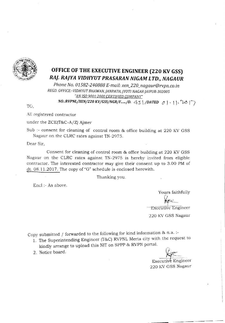

# **OFFICE OF THE EXECUTIVE ENGINEER (220 KV GSS)** *RAJ. RAJYA V1DHYUT PRASARAN NIGAM LTD., NAGAUR*

*Phone No. 01582-240888 E-mail: xen\_220\_nagaur@rvpn.co.in REGD.OFFICE:-VlDHYUT BHAWAN,jANPATH, JYOTI NAGARJAJPUR-302005 "AlY'{SO9001:2000 CERTIFIED COl11PANY" NO.:RVPNL/XEN/220 KV/GSS/NGR/F....../D.* 45 | /*DATED*  $\circ$  | , | | , 10 | 7

TO,

All registered contractor

under the  $ZCE(T&C-A/Z)$  Ajmer

Sub :- consent for cleaning of control room & office building at 220 KV GSS Nagaur on the CLRC rates against TN-2975.

Dear Sir,

Consent for cleaning of control room & office building at 220 KV GSS Nagaur on the CLRC rates against TN-2975 is hereby invited from eligible contractor. The interested contractor may give their consent up to 3.00 PM of dt. 08.11.2017. The copy of "G" schedule is enclosed herewith.

Thanking you.

Encl :- As above.

Yours faithfully

**Executive Engineer** 

220 KV GSS Nagaur

Copy submitted / forwarded to the following for kind information  $\&$  n.a.:-

- 1. The Superintending Engineer (T&C) RVPNL Merta city with the request to 2. Notice board.<br>2. Notice board.
- 



220 KV GSS Nagaur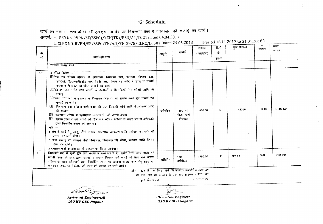# "G" Schedule

कार्य का नाम :- 220 के.वी. जी.एस.एस. नागौर पर नियन्त्रण कक्ष व कार्यालय की सफाई का कार्य।

सन्दर्भः-1. BSR No. RVPN/SE(SSPC)/XEN(TK)/BSR/A1/D. 21 dated 04.04.2011

(Period 16.11.2017 to 31.01.2018) 2. CLRC NO. RVPN/SE/SSPC/TK/A.1/TN-2975/CLRC/D. 501 Dated 24.05.2013

| $\Phi$ .<br>सं.                                                                                                                              | कार्यकाविवरण<br>सामान्य सकाई कार्य                                                                                                                                                                                                                                                                                                                                                                                                                                                                                                                                                                                                                                                                                                                                                                                                                                                                                                                    | आवृति    | इकाई                               | ( प्रतिदिन) | ंदी।<br>संख्या |        | सामयों में | रूपयों मे |
|----------------------------------------------------------------------------------------------------------------------------------------------|-------------------------------------------------------------------------------------------------------------------------------------------------------------------------------------------------------------------------------------------------------------------------------------------------------------------------------------------------------------------------------------------------------------------------------------------------------------------------------------------------------------------------------------------------------------------------------------------------------------------------------------------------------------------------------------------------------------------------------------------------------------------------------------------------------------------------------------------------------------------------------------------------------------------------------------------------------|----------|------------------------------------|-------------|----------------|--------|------------|-----------|
| 1.1                                                                                                                                          | कार्यों का विवरण<br>□□ यह सब स्टेशन परिसर के कार्यालय, नियन्त्रण कक्ष, वरामदों, विश्राम कक्ष,<br>सीढियाँ, पी0एल0सी0सी0 कक्ष, बैटरी कक्ष, विश्राम गृह आदि में झाडू से सफाई<br>करना व फिनायल का पोंछा लगाने का कार्य।<br>UU नियन्त्रण कक्ष समेत सभी कमरों के दरवाजों व खिडकियों (मय शीशे) आदि की<br>-सफाई ।<br>ीतिमस्त शौचालय व मुत्रालय में फिनायल ∕रसायन का प्रयोग करते हुए सफाई एव<br>धुलाई का कार्य।<br>□ नियन्त्रण कक्ष व अन्य सभी कक्षों की छत, खिड़की कोने आदि मेंलगेजाले आंदि<br>की सफाई।<br><sup>[]]</sup> उपसेवत परिसर में कूडादानों (डस्टबिनों) को खाली करना।<br>- समस्त निकाले गये कचरे को ग्रिड सब स्टेशन परिसर से बाहर प्रभारी अधिकारी<br>द्वारा निर्धारित स्थान पर डालना।<br>ाटि :--<br>1 सफाई कार्य हेतु झाडू, पोंछे, डरटर, आवश्यक उपकरण आदि ठेकेदार को स्वय की<br>लागत पर लाने होंगे।<br>2 अन्य सफाई का सामान जैसे फिनायल, फिनायल की गोली, रसायन आदि विभांग<br>द्वारा देय होगें।<br>3.मुगतान फर्श के क्षेत्रफल के आधार पर किया जायेगा। | प्रतिदिन | 100 वर्ग<br>मीटर फर्श<br>क्षेत्रफल | 550.00      | 77             | 42350  | 19.00      | 8046.50   |
| $\mathbf{z}$                                                                                                                                 | नियन्त्रण कक्ष से मुख्य द्वार तक सड़क व अन्य सड़कें एवं इनके दोनों और छोड़ी गई<br>खाली जगह की झाबू द्वारा सफाई । समस्त निकाले गये कचरे को ग्रिड सब स्टेशन<br>परिसर से बाहर अधिकारी द्वारा निर्धारित स्थान पर डालना।सफाई कार्य हेतु झाडू एवं<br>आवश्यक उपकरण ठेकेंदार को स्वंय की लागत पर लाने होगें।                                                                                                                                                                                                                                                                                                                                                                                                                                                                                                                                                                                                                                                  | प्रतिदिन | 100<br><b>तर्ममीटर</b>             | 1780.00     | 11             | 704.88 | 3.60       | 704.88    |
| योग (77 दिन के लिए कार्य की लागत) रूपयोंगे= 8751.38<br>रहै एल. आर. सी. @ 60% बी. एस. आर. से ऊपर. = 5250.83<br>$= 14002.21$<br>कल योग (रुपये) |                                                                                                                                                                                                                                                                                                                                                                                                                                                                                                                                                                                                                                                                                                                                                                                                                                                                                                                                                       |          |                                    |             |                |        |            |           |

 $\overline{N}$ 

**Assistant Engineer(M)** 220 KV GSS Nagaur

**Executive Engineer** 220 KV GSS Nagaur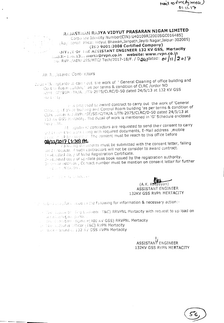RAJASTHAN RAJYA VIDYUT PRASARAN NIGAM LIMITED

Corpo are Identity Number(CIN):U40109RJ2000SGC016485] (Registered Difice: Vidyut Bhawan, Janpath, Jayiti Nagar, Jaipur-302005)  $(150.9001:2008$  Certified Company) OFFICE OF THE ASSISTANT ENGINEER 132 KV GSS, Mertacity Email:- abm.131. merta@rvpn.co.in website: www.rvpn.co.in

All Registered Contractors

Searly Manaptance to carrizout the work of "General Cleaning of office building and Control Room puilding" as per terms & condition of CLRC /order NO RVPT EF/SSPOTK/ALL/TN-2975/CLRC/D-50 dated 24/5/13 at 132 KV GSS  $\cup$ let  $t$  <  $t$  Uy .

It is projesed to award contract to carry out the work of 'General Clearing of office builting and Control Room building 'as per terms & condition of CLRC , order the RVPH/SE/SSPC/TK/A.1/TN-2975/CLRC/D-50 dated 24/5/13 at 132 Kv GSS Mercacity. The detail of work is mentioned in 'G' Schedule enclosed here with.

Alt agistered contractors are requested to send their consent to carry but a love shirt work along with required documents, E-Mail address, mobile The contract property of the consent must be reach to this office before 08/11/2017 (1:30) PM

#### Following documents must be submitted with the consent letter, failing which request of such contractors will not be consider to award contract. 1- Attested copy of Valid Registration Certificate.

2- Attested copy of up-date pass book issued by the registration authority. 3 - E-wail address, Contact number must be mention on consent letter for further From the information is

and the state to distribution

ran) ASSISTANT ENGINEER 132KV GSS RVPN MERTACITY

The sabelineary form reed of the following for information & necessary action:-

- or The Diperinte Ting Engineer (T&C) RRVPNL Mertacity with request to up load on website/fugant portal L
- The Electrive Engineer(400 KV GSS) RRVPNL Mertacity
- 1- The Nicounts Officer (T&C) RVPN Mertacity
- an interference board on 132 KV GSS RVPN Mertacity

ASSISTANT ENGINEER 132KV GSS RVPN MERTACITY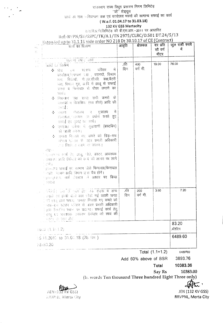राजस्थान राज्य विधुत प्रसारण निगम लिमिटेड़

''जी'' शेड्यूल

कार्य का नाम - नियन्त्रण कक्ष एवं कार्यालय भवनों की सामान्य सफाई का कार्य

#### (W.e.f. 01.04.17 to 31.03.18)

#### 132 KV GSS Mertacity

रा.स.वि.प्र.नि.लिमिटेड की वी.एस.आर.-2011 पर आधारित

Ref:-RVPN/SE/SSPC/TK/A.1/TN 2975/CLRC/D.501 DT.24/5/13

# Extended up to 31.1.18 vide order NO 218 Dt 30.10.17 of CE (Contract)

| W.<br><b>PA</b>                                            | $\frac{1}{2}$ and $\frac{1}{2}$ and $\frac{1}{2}$ and $\frac{1}{2}$ and $\frac{1}{2}$ and $\frac{1}{2}$ and $\frac{1}{2}$ and $\frac{1}{2}$ and $\frac{1}{2}$ and $\frac{1}{2}$ and $\frac{1}{2}$ and $\frac{1}{2}$ and $\frac{1}{2}$ and $\frac{1}{2}$ and $\frac{1}{2}$ and $\frac{1}{2}$ a<br>कार्य का विजरण                                                                                                                                                                                                                                                                                                                                                                                                                                                                                                                                                                                                             | आवृति         | क्षेत्रफल            | दर प्रति<br>सौ वर्ग<br>मीटर | कुल राशी रुपये<br>में |
|------------------------------------------------------------|-----------------------------------------------------------------------------------------------------------------------------------------------------------------------------------------------------------------------------------------------------------------------------------------------------------------------------------------------------------------------------------------------------------------------------------------------------------------------------------------------------------------------------------------------------------------------------------------------------------------------------------------------------------------------------------------------------------------------------------------------------------------------------------------------------------------------------------------------------------------------------------------------------------------------------|---------------|----------------------|-----------------------------|-----------------------|
| $\mathbb{C}[\mathcal{C}]$<br>$\mathbf{r} \in \mathbb{R}^d$ | ्सामत्त्य सफर्न कार्य<br>ं कार्या या विक्रम<br>∻ !ग्रेड √ख रटेशन परिसर<br>मे<br>÷<br>कार्यालय,नियन्त्रण कक्ष , बरामदो, विश्राम<br>कक्ष, सिजियाँ, पी.रल.सी.सी. कक्ष,बैटरी<br>जक्ष, विश्वान गृह, आदि में झाडू से सफाई<br>करना व फ़िनायल से पौछा लगाने का<br>कार्य ।<br>∻ नियन्त्रण कक्ष समत सभी कमरो के<br>दरवाजों व खिडकिया (मय शीशे) आदि की<br>ाधनई ।<br>∲ एमस्त गोवालय च मुत्रा <b>लय</b><br>में<br>िमायल, परमथन ज प्रयोग करते हुए<br>सफाई एव चुलाई का फार्च।<br>⊹ उपराक्त परिसर में फूड़ादानी (डस्टबिन)<br>को खाली करना।<br>∻ अमरत भिठाले गए कचरे को ग्रिड़−सब<br>?रोशन भारतर से पाइर प्रभारी <b>अधिकारी</b><br>,एस निर्धात रचाम पर डालमा ।<br>- ਜੁੰਦਿ-<br>ेता प्याताने कार्य हेत्, आंखू गोछे, उस्टर, आवश्यक<br>. उपकरण आदि ठेकेवार को रवय की लागत पर लाने<br>े इपो ।<br>2) - जय सकाई का सामान जैसे फिनायल,फिनायल<br>ं एहीं। अन्नयन आदि विभाग द्वारा दैय होगें।<br>। उत्तमपतुर राम कर्श होन्नफल को आधार पर किया<br>्मधिका | ,प्रति<br>दिन | 400<br>वर्ग मी.      | 19.00                       | 76.00                 |
|                                                            | े विसमा किस से एख्या द्वारा तक <b>सडक व अन्य</b><br>सड़के एवं इनके दोनों आर छोड़ी गई खाली जगह<br>। वी डग़रू द्वारा सफाड़- समस्त निका <b>ले गए कचरे को</b><br>परह–सब स्टेशन परिसर से बाहर प्रभारी अधिकारी<br>ेत्नुहरः विक्रोमित रथ्यान पर डालना। सफाई कार्य हेतु<br>डाखू एवं आवश्यक उपकरण ठेकेंदार को स्वयं की<br>भाषा ना साम थोगे।                                                                                                                                                                                                                                                                                                                                                                                                                                                                                                                                                                                          | ,प्रति<br>दिन | 200<br>वर्ग मी.      | 3.60                        | 7.20                  |
|                                                            | 10.51(1.15.1.2)                                                                                                                                                                                                                                                                                                                                                                                                                                                                                                                                                                                                                                                                                                                                                                                                                                                                                                             |               |                      |                             | 83.20<br>र्प्रतिदिन   |
|                                                            | $+5.11.2017$ to 31.01.18 (78 दिन )<br>78x83.20                                                                                                                                                                                                                                                                                                                                                                                                                                                                                                                                                                                                                                                                                                                                                                                                                                                                              |               |                      |                             | 6489.60               |
|                                                            |                                                                                                                                                                                                                                                                                                                                                                                                                                                                                                                                                                                                                                                                                                                                                                                                                                                                                                                             |               |                      | Total $(1.1+1.2)$           | 6489760               |
|                                                            |                                                                                                                                                                                                                                                                                                                                                                                                                                                                                                                                                                                                                                                                                                                                                                                                                                                                                                                             |               | Add 60% above of BSR | Total                       | 3893.76<br>10383.36   |
|                                                            | (h. words Ten thousand Three hundred Eight Three only)                                                                                                                                                                                                                                                                                                                                                                                                                                                                                                                                                                                                                                                                                                                                                                                                                                                                      |               |                      | Say Rs                      | 10383.00              |

AEN (132 KV GSS)

**RRVP(JL, Merta City** 

JEN (132 KV GSS) RRVPNL, Merta City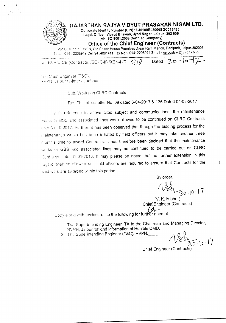

The Chief Engineer (T&C), RVPN\_Jaipur / Ajmer / Jodhpur

S.:b: WO, ks on ClRC Contracts

Ref: This office letter No. 09 dated 6-04-2017 & 136 Dated 04-08-2017

With reference to above cited subject and communications, the maintenance works of GSS and associated lines were allowed to be continued on CLRC Contracts upto 31-10-2017. Further, it has been observed that though the bidding process for the maintenance works has been initiated by field officers but it may take another three montn's time to award Contracts. It has therefore been decided that the maintenance works of GSS and associated lines may be continued to be carried out on CLRC Contracts upto 31-01-2018. It may please be noted that no further extension in this regard shall be allowed and field officers are required to ensure that Contracts for the said work are awarded within this period.

By order,

 $84230.10.17$ 

 $\overline{\phantom{a}}$ 

(V. K. Mishra) Chief, Engineer (Contracts)

Copy along with enclosures to the following for further needful-

1. The Superinlending Engineer, TA to the Chairman and Managing Director, RVPN, Jaipur for kind information of Hon'ble CMD.

2. The Superintending Engineer (T&C), RVPN,

 $\frac{2}{30.10}$ .17

Chief Engineer (Contracts)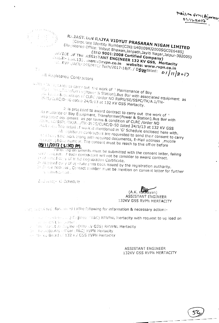Mailto FM (Ajmes  $01111.2012$ 



学士

# RAJASTHAN RAJYA VIDYUT PRASARAN NIGAM LIMITED [Corporate Identity Number(CIN):U40109RJ2000SGC016485]

(Registered Office: Vidyut Bhawan, Janpath, Jayiti Nagar, Jaipur-302005) (ISO 9001:2008 Certified Company) OPPICE OF THE ASSISTANT ENGINEER 132 KV GSS, Mertacity dmail:- aun.132. merta@rvpn.co.in website: www.rvpn.co.in 

all Registered Contractors

plater - 'A creaturee to carry out the work of " Maintenance of Bay dig. 1. Rec., Transforman (Power & Station), Bus Bar with associated equipment as AN LEADS & CONdition of CLRC / order NO RVPN/SE/SSPC/TK/A.1/TN-2975/CLRC/D-50 dated 24/5/13 at 132 KV GSS Mertacity.

It is proposed to award contract to carry out the work of ' Maintenance of Bay Equipment, Transformer(Power & Station), Bus Bar with isso lated equipment as per terms & condition of CLRC /order NO Web, SC/SSPC/TK/A. J/TN-2975/CLRC/D-50 dated 24/5/13 at 132 KV GSS Martinas. The detail of work is mentioned in 'G' Schedule enclosed here with.

All registered contractors are requested to send their consent to carry an above said work along with required documents, E-Mail address, mobile thinger /phone number. The consent must be reach to this office before 08/11/2017 (1:30) PM

Following documents must be submitted with the consent letter, failing which lequest of such contractors will not be consider to award contract. In Almsted copy of Valid Registration Certificate.

2- Attested comy of up-date pass book issued by the registration authority.

3- 3- dail addrass, Contact number must be mention on consent letter for further comunication.

Endosed; - G-Schedule -

# **ASSISTANT ENGINEER** 132KV GSS RVPN MERTACITY

angle seconized from aread to the following for information & necessary action:-

and also invertised in g Gagineer (18C) RRVPNL Mertacity with request to up load on ال المستخدم المستخدمة المستخدمة المستخدمة المستخدمة المستخدمة المستخدمة المستخدمة المستخدمة المستخدمة المستخدم<br>المستخدمة المستخدمة المستخدمة المستخدمة المستخدمة المستخدمة المستخدمة المستخدمة المستخدمة المستخدمة المستخدمة

Be alle Accounts wiffcer (T&C) RVPN Mertacity

All Monte Board of 132 KV GSS RVPN Mertacity

ASSISTANT ENGINEER 132KV GSS RVPN MERTACITY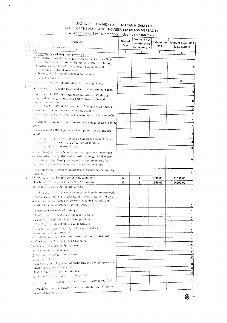#### RAJASTI AN RAJYA VIDHYUT PRASARAN NIGAM LTD OFFICE OF THE ASSISTANT ENGINEER 132 KV GSS MERTACITY G-Schedule for Bay Maintenance including transformers

 $\sim$   $\alpha$ 

 $\hat{\mathcal{A}}$ 

 $\hat{\textbf{v}}$ 

 $t^{\frac{1}{2}(\frac{1}{2})}$ 

 $\sim$   $\sim$   $\sim$   $\sim$   $\sim$   $\sim$   $\sim$   $\sim$ 

| à nui | Particulars                                                                                                                                                                                                                                               | Nos. of<br>Bays | Frequency of<br>maintenance<br>to be done in | Rate as per<br><b>BSR</b> | Amount as per BSR<br>(01.04.2011) |
|-------|-----------------------------------------------------------------------------------------------------------------------------------------------------------------------------------------------------------------------------------------------------------|-----------------|----------------------------------------------|---------------------------|-----------------------------------|
|       | 2<br>Maintenance of Bay Equipment's:-                                                                                                                                                                                                                     | 3               | 4                                            | 5                         | 6                                 |
|       | Maintenance work of following bay equipments such as Circuit                                                                                                                                                                                              |                 |                                              |                           |                                   |
|       | andaker, Current Transformers, Lightning Arresters, Isolators,<br>Capacitize Voltage Transformers, PLCC equipments and<br>corresponding control & relay panel.                                                                                            |                 |                                              |                           |                                   |
|       | in Checking of dightness of clamps & connecters.                                                                                                                                                                                                          |                 |                                              |                           | 0                                 |
|       | io. Genning of all insulators                                                                                                                                                                                                                             |                 |                                              |                           | 0                                 |
|       | consistance to AVPN in attending to oil leakage, if any                                                                                                                                                                                                   |                 |                                              |                           | ٥                                 |
|       | U. Cleaning of all junction boxes and secondary terminal boxes.                                                                                                                                                                                           |                 |                                              |                           | 0                                 |
|       | is. Assistance to RVPN in checking of operation of CB through<br>leinys and verifying various logic and control circuits and<br>amonication drenits<br>considerings, to invention medical ement of CB operation timings.                                  |                 |                                              |                           | 0                                 |
|       | 3. Checking of isolator operation and its alignment.                                                                                                                                                                                                      |                 |                                              |                           | 0                                 |
|       | in Chacking of gus pressures like SFG & N2 in circuit breakers/CTs                                                                                                                                                                                        |                 |                                              |                           | ٥                                 |
|       | $\sim 4\, \rm{K}$<br>. Assistance to RVPN in measurement of :R values of LA's , CT's &                                                                                                                                                                    |                 |                                              |                           | 0                                 |
|       | $,$ CV 11's .<br>. Lubrication of defined parts of all equipments of all required                                                                                                                                                                         |                 |                                              |                           | ٥                                 |
|       | Evoints                                                                                                                                                                                                                                                   |                 |                                              |                           | 0                                 |
|       | s. Washing the equipments, in case oil stains are present, then                                                                                                                                                                                           |                 |                                              |                           | 0                                 |
|       | studing is to be upnel with use of detaigent solution.<br>a kazdining or Can punel from inside.                                                                                                                                                           |                 |                                              |                           |                                   |
|       | and lightening of clamps & connecters and spacers on overhead                                                                                                                                                                                             |                 |                                              |                           |                                   |
|       | pus cunductors and gantries (at a maximum height of 25 meter<br>assignately bults). Also lightening of clamp/connecters of all<br>associated equipments connected to such overhead bus.                                                                   |                 |                                              |                           | Ω                                 |
|       | in Providing other related work assistance as may be required by<br>jarcharge -                                                                                                                                                                           |                 |                                              |                           | ٥                                 |
|       | 3.3 132KV Bay (01 No. Supervisor+ 06 Nos. Workmen)                                                                                                                                                                                                        | 6               | 1                                            | 1892.00                   | 11352.00                          |
|       | 3.4. 33KV Bay (6:11). Supervisory 05 Nos. Workmen)                                                                                                                                                                                                        | 15              | 1                                            | 1666.00                   | 24990.00                          |
|       | C. Estaintenance el Power Transformei e                                                                                                                                                                                                                   |                 |                                              |                           | 0                                 |
|       | motiding or the ansistance as given below in maintenance work<br>of Power trum formers. (All spares, fubricating material and only<br>(special T&P shair we provided by RVPN. Cleaning material and<br>Canaral T&P El all be arranged by the contractor.) |                 |                                              |                           |                                   |
|       | a) Cleaning of porcelain of bushings.                                                                                                                                                                                                                     |                 |                                              |                           | 0                                 |
|       | [1] Cheeling of fightness of clamps & connectors.                                                                                                                                                                                                         |                 |                                              |                           | 0                                 |
|       | ) Cleaning of Buchnolz relay& oil surge relays.                                                                                                                                                                                                           |                 |                                              |                           | 0                                 |
|       | 3) Cleaning of glasses of all oil level indicators.                                                                                                                                                                                                       |                 |                                              |                           | 0                                 |
|       | c) cleaning of indichaliting box, cooler control cubicle,                                                                                                                                                                                                 |                 |                                              |                           | 0                                 |
|       | inarmonitet (zibt), as provided.<br>of Attending to 60 leakage from transformer body & bushings                                                                                                                                                           |                 |                                              |                           | $\overline{\mathbf{0}}$           |
|       | (a) Checking of philevel in oil filled bushings                                                                                                                                                                                                           |                 |                                              |                           | $\overline{\mathfrak{o}}$         |
|       | i) Cheeking of arycol ali drying system.                                                                                                                                                                                                                  |                 |                                              |                           | $\overline{\mathfrak{o}}$         |
|       | ) Measurement of IR values.                                                                                                                                                                                                                               |                 |                                              |                           | $\overline{0}$                    |
|       | .) Measurement of Earth resistance.                                                                                                                                                                                                                       |                 |                                              |                           | $\overline{\mathfrak{o}}$         |
|       | J festing of PRD.                                                                                                                                                                                                                                         |                 |                                              |                           | 0                                 |
|       | .) Cnecking of cripping circuit of buchholz& WDG oil temperature<br>controls and protection scheine.                                                                                                                                                      |                 |                                              |                           | 0                                 |
|       | in) Checking of GLTC gear operations.                                                                                                                                                                                                                     |                 |                                              |                           | 0<br>0                            |
|       | i) Checking of according or cooling bank.                                                                                                                                                                                                                 |                 |                                              |                           |                                   |
|       | $\langle \downarrow \rangle$ as carryour union special measurements as may be required                                                                                                                                                                    |                 |                                              |                           | 0                                 |
|       | Providing of other related work assistance as may be required<br>$\frac{1}{2}$ work incharged ___________                                                                                                                                                 |                 |                                              |                           | 0                                 |

 $\oint$ 

 $\sim$